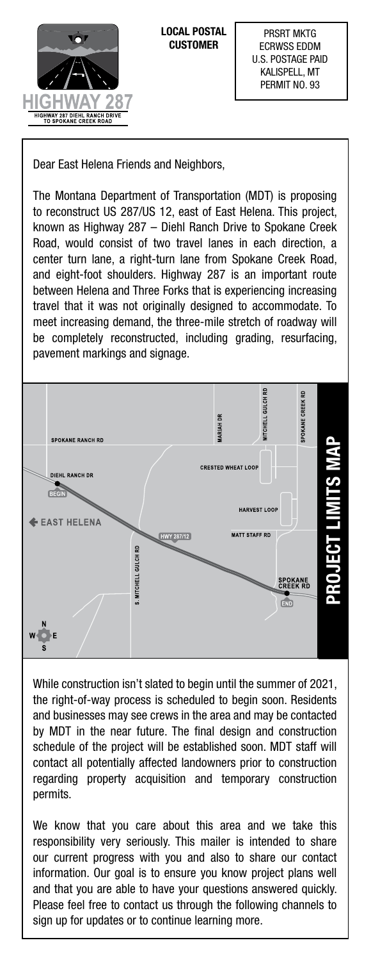

**LOCAL POSTAL CUSTOMER**

Dear East Helena Friends and Neighbors,

The Montana Department of Transportation (MDT) is proposing to reconstruct US 287/US 12, east of East Helena. This project, known as Highway 287 – Diehl Ranch Drive to Spokane Creek Road, would consist of two travel lanes in each direction, a center turn lane, a right-turn lane from Spokane Creek Road, and eight-foot shoulders. Highway 287 is an important route between Helena and Three Forks that is experiencing increasing travel that it was not originally designed to accommodate. To meet increasing demand, the three-mile stretch of roadway will be completely reconstructed, including grading, resurfacing, pavement markings and signage.



While construction isn't slated to begin until the summer of 2021, the right-of-way process is scheduled to begin soon. Residents and businesses may see crews in the area and may be contacted by MDT in the near future. The final design and construction schedule of the project will be established soon. MDT staff will contact all potentially affected landowners prior to construction regarding property acquisition and temporary construction permits.

We know that you care about this area and we take this responsibility very seriously. This mailer is intended to share our current progress with you and also to share our contact information. Our goal is to ensure you know project plans well and that you are able to have your questions answered quickly. Please feel free to contact us through the following channels to sign up for updates or to continue learning more.